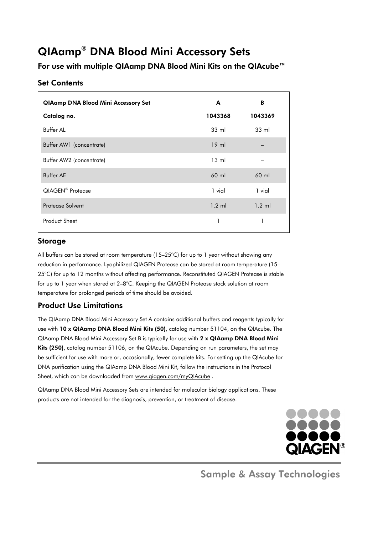# QIAamp® DNA Blood Mini Accessory Sets

For use with multiple QIAamp DNA Blood Mini Kits on the QIAcube™

## Set Contents

| <b>QIAamp DNA Blood Mini Accessory Set</b> | A               | B                |
|--------------------------------------------|-----------------|------------------|
| Catalog no.                                | 1043368         | 1043369          |
| Buffer Al                                  | $33 \text{ ml}$ | $33 \text{ ml}$  |
| Buffer AW1 (concentrate)                   | $19$ ml         |                  |
| Buffer AW2 (concentrate)                   | $13 \text{ ml}$ |                  |
| <b>Buffer AE</b>                           | $60$ ml         | $60$ ml          |
| QIAGEN <sup>®</sup> Protease               | 1 vial          | 1 vial           |
| Protease Solvent                           | $1.2$ ml        | $1.2 \text{ ml}$ |
| <b>Product Sheet</b>                       |                 |                  |

## Storage

All buffers can be stored at room temperature (15–25°C) for up to 1 year without showing any reduction in performance. Lyophilized QIAGEN Protease can be stored at room temperature (15– 25°C) for up to 12 months without affecting performance. Reconstituted QIAGEN Protease is stable for up to 1 year when stored at 2–8°C. Keeping the QIAGEN Protease stock solution at room temperature for prolonged periods of time should be avoided.

## Product Use Limitations

The QIAamp DNA Blood Mini Accessory Set A contains additional buffers and reagents typically for use with 10 x QIAamp DNA Blood Mini Kits (50), catalog number 51104, on the QIAcube. The QIAamp DNA Blood Mini Accessory Set B is typically for use with 2 x QIAamp DNA Blood Mini Kits (250), catalog number 51106, on the QIAcube. Depending on run parameters, the set may be sufficient for use with more or, occasionally, fewer complete kits. For setting up the QIAcube for DNA purification using the QIAamp DNA Blood Mini Kit, follow the instructions in the Protocol Sheet, which can be downloaded from www.qiagen.com/myQIAcube.

QIAamp DNA Blood Mini Accessory Sets are intended for molecular biology applications. These products are not intended for the diagnosis, prevention, or treatment of disease.



Sample & Assay Technologies